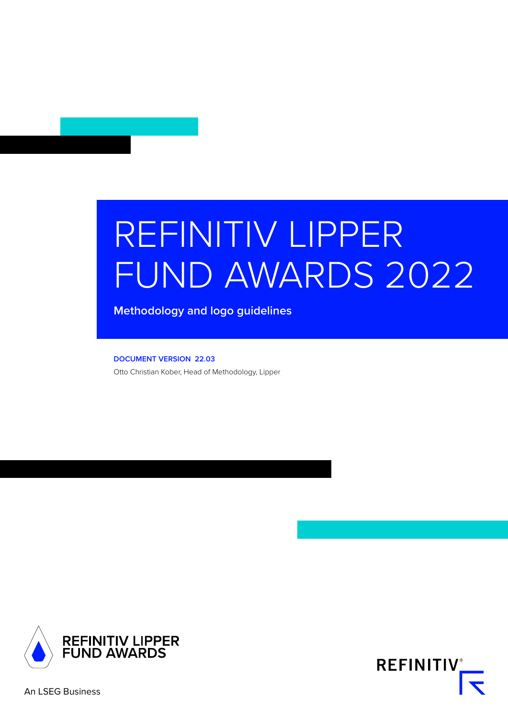# REFINITIV LIPPER FUND AWARDS 2022

**Methodology and logo guidelines**

**DOCUMENT VERSION 22.03** Otto Christian Kober, Head of Methodology, Lipper



**REFINITIV**®

An LSEG Business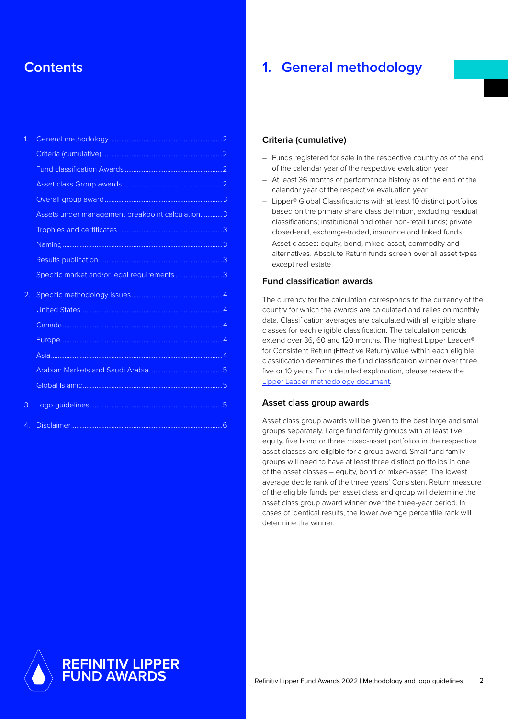# **Contents**

| $\overline{1}$ . |                                                 |  |
|------------------|-------------------------------------------------|--|
|                  |                                                 |  |
|                  |                                                 |  |
|                  |                                                 |  |
|                  |                                                 |  |
|                  | Assets under management breakpoint calculation3 |  |
|                  |                                                 |  |
|                  |                                                 |  |
|                  |                                                 |  |
|                  | Specific market and/or legal requirements3      |  |
| 2.               |                                                 |  |
|                  |                                                 |  |
|                  |                                                 |  |
|                  |                                                 |  |
|                  |                                                 |  |
|                  |                                                 |  |
|                  |                                                 |  |
| 3.               |                                                 |  |
| $\overline{4}$   |                                                 |  |

## **1. General methodology**

#### **Criteria (cumulative)**

- Funds registered for sale in the respective country as of the end of the calendar year of the respective evaluation year
- At least 36 months of performance history as of the end of the calendar year of the respective evaluation year
- Lipper® Global Classifications with at least 10 distinct portfolios based on the primary share class definition, excluding residual classifications; institutional and other non-retail funds; private, closed-end, exchange-traded, insurance and linked funds
- Asset classes: equity, bond, mixed-asset, commodity and alternatives. Absolute Return funds screen over all asset types except real estate

#### **Fund classification awards**

The currency for the calculation corresponds to the currency of the country for which the awards are calculated and relies on monthly data. Classification averages are calculated with all eligible share classes for each eligible classification. The calculation periods extend over 36, 60 and 120 months. The highest Lipper Leader® for Consistent Return (Effective Return) value within each eligible classification determines the fund classification winner over three, five or 10 years. For a detailed explanation, please review the [Lipper Leader methodology document](https://lipperalpha.refinitiv.com/lipper/lipper-leaders-methodology/).

#### **Asset class group awards**

Asset class group awards will be given to the best large and small groups separately. Large fund family groups with at least five equity, five bond or three mixed-asset portfolios in the respective asset classes are eligible for a group award. Small fund family groups will need to have at least three distinct portfolios in one of the asset classes – equity, bond or mixed-asset. The lowest average decile rank of the three years' Consistent Return measure of the eligible funds per asset class and group will determine the asset class group award winner over the three-year period. In cases of identical results, the lower average percentile rank will determine the winner.

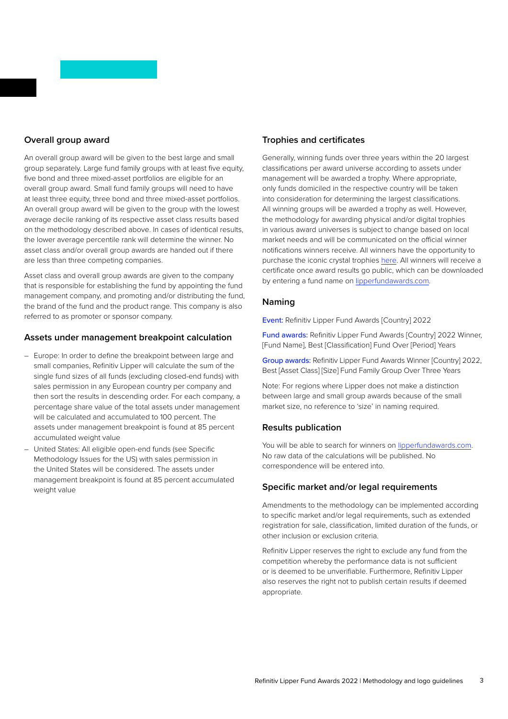### <span id="page-2-0"></span>**Overall group award**

An overall group award will be given to the best large and small group separately. Large fund family groups with at least five equity, five bond and three mixed-asset portfolios are eligible for an overall group award. Small fund family groups will need to have at least three equity, three bond and three mixed-asset portfolios. An overall group award will be given to the group with the lowest average decile ranking of its respective asset class results based on the methodology described above. In cases of identical results, the lower average percentile rank will determine the winner. No asset class and/or overall group awards are handed out if there are less than three competing companies.

Asset class and overall group awards are given to the company that is responsible for establishing the fund by appointing the fund management company, and promoting and/or distributing the fund, the brand of the fund and the product range. This company is also referred to as promoter or sponsor company.

### **Assets under management breakpoint calculation**

- Europe: In order to define the breakpoint between large and small companies, Refinitiv Lipper will calculate the sum of the single fund sizes of all funds (excluding closed-end funds) with sales permission in any European country per company and then sort the results in descending order. For each company, a percentage share value of the total assets under management will be calculated and accumulated to 100 percent. The assets under management breakpoint is found at 85 percent accumulated weight value
- United States: All eligible open-end funds (see Specific Methodology Issues for the US) with sales permission in the United States will be considered. The assets under management breakpoint is found at 85 percent accumulated weight value

### **Trophies and certificates**

Generally, winning funds over three years within the 20 largest classifications per award universe according to assets under management will be awarded a trophy. Where appropriate, only funds domiciled in the respective country will be taken into consideration for determining the largest classifications. All winning groups will be awarded a trophy as well. However, the methodology for awarding physical and/or digital trophies in various award universes is subject to change based on local market needs and will be communicated on the official winner notifications winners receive. All winners have the opportunity to purchase the iconic crystal trophies [here.](https://www.recognitionsource.com/collections/lipperfundawards) All winners will receive a certificate once award results go public, which can be downloaded by entering a fund name on [lipperfundawards.com.](http://lipperfundawards.com)

#### **Naming**

Event: Refinitiv Lipper Fund Awards [Country] 2022

Fund awards: Refinitiv Lipper Fund Awards [Country] 2022 Winner, [Fund Name], Best [Classification] Fund Over [Period] Years

Group awards: Refinitiv Lipper Fund Awards Winner [Country] 2022, Best [Asset Class] [Size] Fund Family Group Over Three Years

Note: For regions where Lipper does not make a distinction between large and small group awards because of the small market size, no reference to 'size' in naming required.

### **Results publication**

You will be able to search for winners on [lipperfundawards.com](http://lipperfundawards.com). No raw data of the calculations will be published. No correspondence will be entered into.

### **Specific market and/or legal requirements**

Amendments to the methodology can be implemented according to specific market and/or legal requirements, such as extended registration for sale, classification, limited duration of the funds, or other inclusion or exclusion criteria.

Refinitiv Lipper reserves the right to exclude any fund from the competition whereby the performance data is not sufficient or is deemed to be unverifiable. Furthermore, Refinitiv Lipper also reserves the right not to publish certain results if deemed appropriate.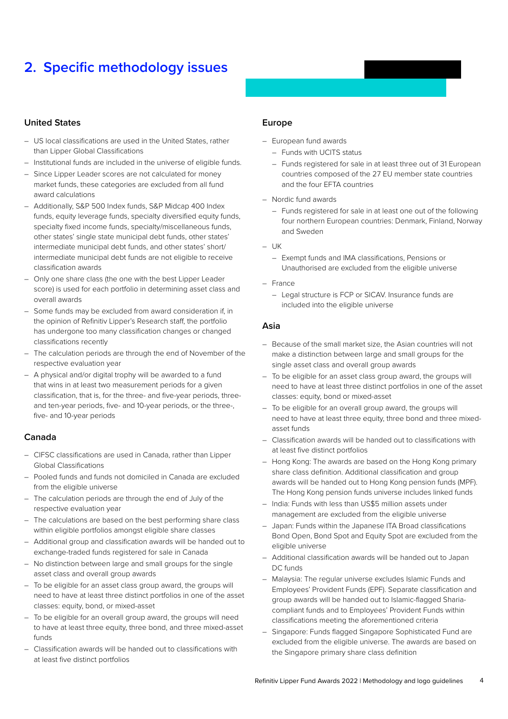# <span id="page-3-0"></span>**2. Specific methodology issues**

### **United States**

- US local classifications are used in the United States, rather than Lipper Global Classifications
- Institutional funds are included in the universe of eligible funds.
- Since Lipper Leader scores are not calculated for money market funds, these categories are excluded from all fund award calculations
- Additionally, S&P 500 Index funds, S&P Midcap 400 Index funds, equity leverage funds, specialty diversified equity funds, specialty fixed income funds, specialty/miscellaneous funds, other states' single state municipal debt funds, other states' intermediate municipal debt funds, and other states' short/ intermediate municipal debt funds are not eligible to receive classification awards
- Only one share class (the one with the best Lipper Leader score) is used for each portfolio in determining asset class and overall awards
- Some funds may be excluded from award consideration if, in the opinion of Refinitiv Lipper's Research staff, the portfolio has undergone too many classification changes or changed classifications recently
- The calculation periods are through the end of November of the respective evaluation year
- A physical and/or digital trophy will be awarded to a fund that wins in at least two measurement periods for a given classification, that is, for the three- and five-year periods, threeand ten-year periods, five- and 10-year periods, or the three-, five- and 10-year periods

### **Canada**

- CIFSC classifications are used in Canada, rather than Lipper Global Classifications
- Pooled funds and funds not domiciled in Canada are excluded from the eligible universe
- The calculation periods are through the end of July of the respective evaluation year
- The calculations are based on the best performing share class within eligible portfolios amongst eligible share classes
- Additional group and classification awards will be handed out to exchange-traded funds registered for sale in Canada
- No distinction between large and small groups for the single asset class and overall group awards
- To be eligible for an asset class group award, the groups will need to have at least three distinct portfolios in one of the asset classes: equity, bond, or mixed-asset
- To be eligible for an overall group award, the groups will need to have at least three equity, three bond, and three mixed-asset funds
- Classification awards will be handed out to classifications with at least five distinct portfolios

### **Europe**

- European fund awards
	- Funds with UCITS status
	- Funds registered for sale in at least three out of 31 European countries composed of the 27 EU member state countries and the four EFTA countries
- Nordic fund awards
	- Funds registered for sale in at least one out of the following four northern European countries: Denmark, Finland, Norway and Sweden
- UK
	- Exempt funds and IMA classifications, Pensions or Unauthorised are excluded from the eligible universe
- France
	- Legal structure is FCP or SICAV. Insurance funds are included into the eligible universe

#### **Asia**

- Because of the small market size, the Asian countries will not make a distinction between large and small groups for the single asset class and overall group awards
- To be eligible for an asset class group award, the groups will need to have at least three distinct portfolios in one of the asset classes: equity, bond or mixed-asset
- To be eligible for an overall group award, the groups will need to have at least three equity, three bond and three mixedasset funds
- Classification awards will be handed out to classifications with at least five distinct portfolios
- Hong Kong: The awards are based on the Hong Kong primary share class definition. Additional classification and group awards will be handed out to Hong Kong pension funds (MPF). The Hong Kong pension funds universe includes linked funds
- India: Funds with less than US\$5 million assets under management are excluded from the eligible universe
- Japan: Funds within the Japanese ITA Broad classifications Bond Open, Bond Spot and Equity Spot are excluded from the eligible universe
- Additional classification awards will be handed out to Japan DC funds
- Malaysia: The regular universe excludes Islamic Funds and Employees' Provident Funds (EPF). Separate classification and group awards will be handed out to Islamic-flagged Shariacompliant funds and to Employees' Provident Funds within classifications meeting the aforementioned criteria
- Singapore: Funds flagged Singapore Sophisticated Fund are excluded from the eligible universe. The awards are based on the Singapore primary share class definition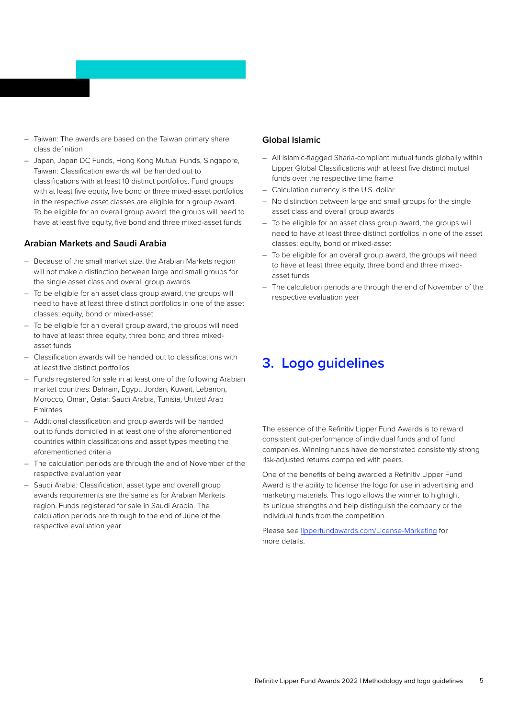- <span id="page-4-0"></span>– Taiwan: The awards are based on the Taiwan primary share class definition
- Japan, Japan DC Funds, Hong Kong Mutual Funds, Singapore, Taiwan: Classification awards will be handed out to classifications with at least 10 distinct portfolios. Fund groups with at least five equity, five bond or three mixed-asset portfolios in the respective asset classes are eligible for a group award. To be eligible for an overall group award, the groups will need to have at least five equity, five bond and three mixed-asset funds

### **Arabian Markets and Saudi Arabia**

- Because of the small market size, the Arabian Markets region will not make a distinction between large and small groups for the single asset class and overall group awards
- To be eligible for an asset class group award, the groups will need to have at least three distinct portfolios in one of the asset classes: equity, bond or mixed-asset
- To be eligible for an overall group award, the groups will need to have at least three equity, three bond and three mixedasset funds
- Classification awards will be handed out to classifications with at least five distinct portfolios
- Funds registered for sale in at least one of the following Arabian market countries: Bahrain, Egypt, Jordan, Kuwait, Lebanon, Morocco, Oman, Qatar, Saudi Arabia, Tunisia, United Arab Emirates
- Additional classification and group awards will be handed out to funds domiciled in at least one of the aforementioned countries within classifications and asset types meeting the aforementioned criteria
- The calculation periods are through the end of November of the respective evaluation year
- Saudi Arabia: Classification, asset type and overall group awards requirements are the same as for Arabian Markets region. Funds registered for sale in Saudi Arabia. The calculation periods are through to the end of June of the respective evaluation year

### **Global Islamic**

- All Islamic-flagged Sharia-compliant mutual funds globally within Lipper Global Classifications with at least five distinct mutual funds over the respective time frame
- Calculation currency is the U.S. dollar
- No distinction between large and small groups for the single asset class and overall group awards
- To be eligible for an asset class group award, the groups will need to have at least three distinct portfolios in one of the asset classes: equity, bond or mixed-asset
- To be eligible for an overall group award, the groups will need to have at least three equity, three bond and three mixedasset funds
- The calculation periods are through the end of November of the respective evaluation year

# **3. Logo guidelines**

The essence of the Refinitiv Lipper Fund Awards is to reward consistent out-performance of individual funds and of fund companies. Winning funds have demonstrated consistently strong risk-adjusted returns compared with peers.

One of the benefits of being awarded a Refinitiv Lipper Fund Award is the ability to license the logo for use in advertising and marketing materials. This logo allows the winner to highlight its unique strengths and help distinguish the company or the individual funds from the competition.

Please see [lipperfundawards.com/License-Marketing](https://www.lipperfundawards.com/License-Marketing) for more details.